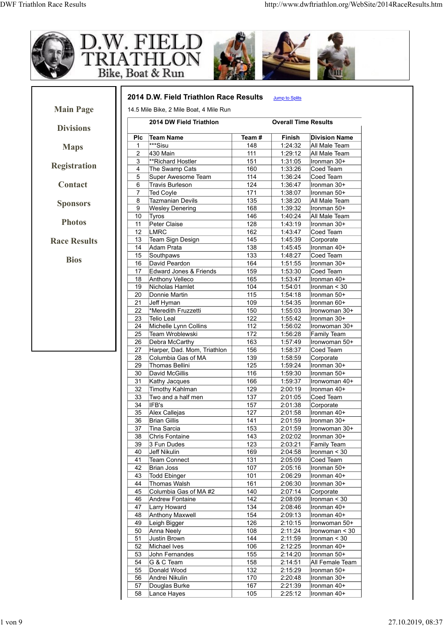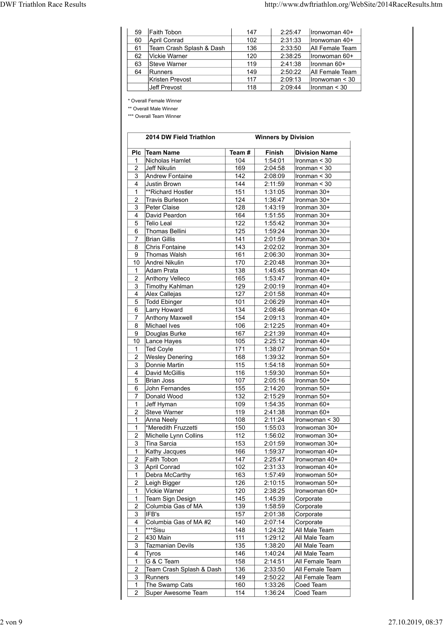| Faith Tobon<br>59<br>147<br>2:25:47<br>Ironwoman 40+<br>April Conrad<br>102<br>2:31:33<br>Ironwoman 40+<br>60<br>Team Crash Splash & Dash<br>136<br>2:33:50<br>All Female Team<br>61<br>Vickie Warner<br>120<br>2:38:25<br>Ironwoman 60+<br>62<br>Steve Warner<br>2:41:38<br>Ironman 60+<br>63<br>119<br>2:50:22<br>All Female Team<br>64<br>Runners<br>149<br>Kristen Prevost<br>117<br>2:09:13<br>$ $ Ironwoman < 30 | 118<br>2:09:44<br>$l$ ronman < 30<br>Jeff Prevost<br>* Overall Female Winner<br>** Overall Male Winner<br>*** Overall Team Winner |                                   |  |  |
|------------------------------------------------------------------------------------------------------------------------------------------------------------------------------------------------------------------------------------------------------------------------------------------------------------------------------------------------------------------------------------------------------------------------|-----------------------------------------------------------------------------------------------------------------------------------|-----------------------------------|--|--|
|                                                                                                                                                                                                                                                                                                                                                                                                                        |                                                                                                                                   |                                   |  |  |
|                                                                                                                                                                                                                                                                                                                                                                                                                        |                                                                                                                                   |                                   |  |  |
|                                                                                                                                                                                                                                                                                                                                                                                                                        |                                                                                                                                   |                                   |  |  |
|                                                                                                                                                                                                                                                                                                                                                                                                                        |                                                                                                                                   |                                   |  |  |
|                                                                                                                                                                                                                                                                                                                                                                                                                        |                                                                                                                                   |                                   |  |  |
|                                                                                                                                                                                                                                                                                                                                                                                                                        |                                                                                                                                   |                                   |  |  |
|                                                                                                                                                                                                                                                                                                                                                                                                                        |                                                                                                                                   |                                   |  |  |
| http://www.dwftriathlon.org/WebSite/2014RaceResults.htm                                                                                                                                                                                                                                                                                                                                                                |                                                                                                                                   |                                   |  |  |
|                                                                                                                                                                                                                                                                                                                                                                                                                        |                                                                                                                                   |                                   |  |  |
|                                                                                                                                                                                                                                                                                                                                                                                                                        |                                                                                                                                   |                                   |  |  |
|                                                                                                                                                                                                                                                                                                                                                                                                                        |                                                                                                                                   | <b>DWF Triathlon Race Results</b> |  |  |
|                                                                                                                                                                                                                                                                                                                                                                                                                        |                                                                                                                                   |                                   |  |  |
|                                                                                                                                                                                                                                                                                                                                                                                                                        |                                                                                                                                   |                                   |  |  |
|                                                                                                                                                                                                                                                                                                                                                                                                                        |                                                                                                                                   |                                   |  |  |
|                                                                                                                                                                                                                                                                                                                                                                                                                        |                                                                                                                                   |                                   |  |  |
|                                                                                                                                                                                                                                                                                                                                                                                                                        |                                                                                                                                   |                                   |  |  |
|                                                                                                                                                                                                                                                                                                                                                                                                                        |                                                                                                                                   |                                   |  |  |
| <b>Winners by Division</b><br>2014 DW Field Triathlon                                                                                                                                                                                                                                                                                                                                                                  |                                                                                                                                   |                                   |  |  |
| Plc Team Name<br><b>Division Name</b><br>Team #<br>Finish                                                                                                                                                                                                                                                                                                                                                              |                                                                                                                                   |                                   |  |  |
| Nicholas Hamlet<br>104<br>1:54:01<br>$l$ ronman < 30<br>$\mathbf{1}$                                                                                                                                                                                                                                                                                                                                                   |                                                                                                                                   |                                   |  |  |
| Jeff Nikulin<br>169<br>2:04:58<br>Ironman $<$ 30<br>$2^{\circ}$                                                                                                                                                                                                                                                                                                                                                        |                                                                                                                                   |                                   |  |  |
| Andrew Fontaine<br>142<br>2:08:09<br>$l$ ronman < 30<br>3                                                                                                                                                                                                                                                                                                                                                              |                                                                                                                                   |                                   |  |  |
| 144<br>2:11:59<br>Justin Brown<br>Ironman $<$ 30<br>4<br>151<br>1:31:05<br>Ironman 30+<br>$\mathbf{1}$<br>**Richard Hostler                                                                                                                                                                                                                                                                                            |                                                                                                                                   |                                   |  |  |

| 60<br>61                     |                                      | 147        |                            | 2:25:47            | Ironwoman 40+                     |
|------------------------------|--------------------------------------|------------|----------------------------|--------------------|-----------------------------------|
|                              | April Conrad                         | 102        |                            | 2:31:33            | Ironwoman 40+                     |
|                              | Team Crash Splash & Dash             | 136        |                            | 2:33:50            | All Female Team                   |
| 62                           | Vickie Warner                        | 120        |                            | 2:38:25            | Ironwoman 60+                     |
| 63                           | Steve Warner                         | 119        |                            | 2:41:38            | Ironman 60+                       |
| 64                           | Runners<br>Kristen Prevost           | 149<br>117 |                            | 2:50:22<br>2:09:13 | All Female Team<br>Ironwoman < 30 |
|                              | Jeff Prevost                         | 118        |                            | 2:09:44            | Ironman < 30                      |
|                              |                                      |            |                            |                    |                                   |
|                              | * Overall Female Winner              |            |                            |                    |                                   |
|                              | ** Overall Male Winner               |            |                            |                    |                                   |
|                              | *** Overall Team Winner              |            |                            |                    |                                   |
|                              |                                      |            |                            |                    |                                   |
|                              | 2014 DW Field Triathlon              |            | <b>Winners by Division</b> |                    |                                   |
| Plc.                         | <b>Team Name</b>                     | Team#      | Finish                     |                    | <b>Division Name</b>              |
| 1                            | Nicholas Hamlet                      | 104        | 1:54:01                    |                    | Ironman $<$ 30                    |
| 2                            | Jeff Nikulin                         | 169        | 2:04:58                    |                    | Ironman < 30                      |
| 3                            | Andrew Fontaine                      | 142        | 2:08:09                    |                    | Ironman < 30                      |
| 4                            | Justin Brown                         | 144        | 2:11:59                    |                    | Ironman < 30                      |
| $\mathbf{1}$                 | **Richard Hostler                    | 151        | 1:31:05                    |                    | Ironman 30+                       |
| 2                            | <b>Travis Burleson</b>               | 124        | 1:36:47                    |                    | Ironman 30+                       |
| 3                            | Peter Claise                         | 128        | 1:43:19                    |                    | Ironman 30+                       |
| 4<br>5                       | David Peardon<br><b>Telio Leal</b>   | 164<br>122 | 1:51:55<br>1:55:42         |                    | Ironman 30+<br>Ironman 30+        |
| 6                            | <b>Thomas Bellini</b>                | 125        | 1:59:24                    |                    | Ironman 30+                       |
| 7                            | <b>Brian Gillis</b>                  | 141        | 2:01:59                    |                    | Ironman 30+                       |
| 8                            | Chris Fontaine                       | 143        | 2:02:02                    |                    | Ironman 30+                       |
| 9                            | Thomas Walsh                         | 161        | 2:06:30                    |                    | Ironman 30+                       |
| 10                           | Andrei Nikulin                       | 170        | 2:20:48                    |                    | Ironman 30+                       |
| 1                            | Adam Prata                           | 138        | 1:45:45                    |                    | Ironman 40+                       |
| 2                            | Anthony Velleco                      | 165        | 1:53:47                    |                    | Ironman 40+                       |
| 3<br>4                       | <b>Timothy Kahlman</b>               | 129<br>127 | 2:00:19                    |                    | Ironman 40+                       |
| 5                            | Alex Callejas<br><b>Todd Ebinger</b> | 101        | 2:01:58<br>2:06:29         |                    | Ironman 40+<br>Ironman 40+        |
| 6                            | Larry Howard                         | 134        | 2:08:46                    |                    | Ironman 40+                       |
| 7                            | <b>Anthony Maxwell</b>               | 154        | 2:09:13                    |                    | Ironman 40+                       |
| 8                            | Michael Ives                         | 106        | 2:12:25                    |                    | Ironman 40+                       |
| 9                            | Douglas Burke                        | 167        | 2:21:39                    |                    | Ironman 40+                       |
| 10                           | Lance Hayes                          | 105        | 2:25:12                    |                    | Ironman 40+                       |
| $\mathbf{1}$                 | <b>Ted Coyle</b>                     | 171        | 1:38:07                    |                    | Ironman 50+                       |
| $\sqrt{2}$                   | <b>Wesley Denering</b>               | 168        | 1:39:32                    |                    | Ironman 50+                       |
| 3                            | Donnie Martin                        | 115        | 1:54:18                    |                    | Ironman 50+                       |
| 4<br>5                       | David McGillis<br><b>Brian Joss</b>  | 116<br>107 | 1:59:30<br>2:05:16         |                    | Ironman 50+<br>Ironman 50+        |
| 6                            | John Fernandes                       | 155        | 2:14:20                    |                    | Ironman 50+                       |
| $\overline{7}$               | Donald Wood                          | 132        | 2:15:29                    |                    | Ironman 50+                       |
| 1                            | Jeff Hyman                           | 109        | 1:54:35                    |                    | Ironman 60+                       |
| $\overline{2}$               | Steve Warner                         | 119        | 2:41:38                    |                    | Ironman 60+                       |
| $\mathbf{1}$                 | Anna Neely                           | 108        | 2:11:24                    |                    | Ironwoman < 30                    |
| $\mathbf{1}$                 | *Meredith Fruzzetti                  | 150        | 1:55:03                    |                    | Ironwoman 30+                     |
| $\overline{2}$               | Michelle Lynn Collins                | 112        | 1:56:02                    |                    | Ironwoman 30+                     |
| 3                            | Tina Sarcia                          | 153        | 2:01:59                    |                    | Ironwoman 30+                     |
| 1<br>2                       | Kathy Jacques<br>Faith Tobon         | 166<br>147 | 1:59:37<br>2:25:47         |                    | Ironwoman 40+<br>Ironwoman 40+    |
| 3                            | April Conrad                         | 102        | 2:31:33                    |                    | Ironwoman 40+                     |
| 1                            | Debra McCarthy                       | 163        | 1:57:49                    |                    | Ironwoman 50+                     |
| $\overline{2}$               | Leigh Bigger                         | 126        | 2:10:15                    |                    | Ironwoman 50+                     |
| $\mathbf{1}$                 | Vickie Warner                        | 120        | 2:38:25                    |                    | Ironwoman 60+                     |
| 1                            | Team Sign Design                     | 145        | 1:45:39                    |                    | Corporate                         |
| $\overline{2}$               | Columbia Gas of MA                   | 139        | 1:58:59                    |                    | Corporate                         |
| 3                            | IFB's                                | 157        | 2:01:38                    |                    | Corporate                         |
| $\overline{4}$               | Columbia Gas of MA #2                | 140        | 2:07:14                    |                    | Corporate                         |
| $\mathbf{1}$                 | ***Sisu<br>430 Main                  | 148        | 1:24:32                    |                    | All Male Team                     |
| $\overline{\mathbf{c}}$<br>3 | <b>Tazmanian Devils</b>              | 111<br>135 | 1:29:12<br>1:38:20         |                    | All Male Team<br>All Male Team    |
| 4                            | Tyros                                | 146        | 1:40:24                    |                    | All Male Team                     |
| 1                            | G & C Team                           | 158        | 2:14:51                    |                    | All Female Team                   |
| 2                            | Team Crash Splash & Dash             | 136        | 2:33:50                    |                    | All Female Team                   |
| $\mathbf{3}$                 | Runners                              | 149        | 2:50:22                    |                    | All Female Team                   |
| 1                            | The Swamp Cats                       | 160        | 1:33:26                    |                    | Coed Team                         |
| $\overline{c}$               | Super Awesome Team                   | 114        | 1:36:24                    |                    | Coed Team                         |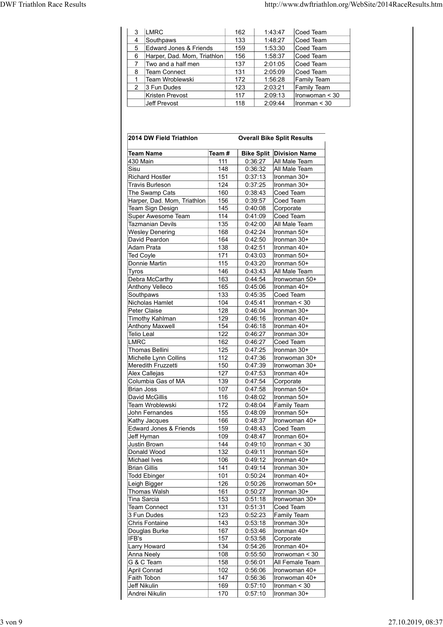| http://www.dwftriathlon.org/WebSite/2014RaceResults.htm<br>LMRC<br>3 <sup>1</sup><br>162<br>Coed Team<br>1:43:47<br>133<br>Southpaws<br>Coed Team<br>1:48:27<br>$\overline{4}$<br>5 Edward Jones & Friends<br>159<br>Coed Team<br>1:53:30<br>156<br>6 Harper, Dad. Mom, Triathlon<br>1:58:37<br>Coed Team<br>Two and a half men<br>137<br>2:01:05<br>Coed Team<br>$\overline{7}$<br>131<br>Team Connect<br>2:05:09<br>Coed Team<br>8<br>Team Wroblewski<br>172<br>1:56:28<br>Family Team<br>$\mathbf{1}$<br>123<br>2 3 Fun Dudes<br>2:03:21<br>Family Team<br>Kristen Prevost<br>117<br>2:09:13<br>lronwoman < 30<br>118<br>2:09:44<br>Ironman $<$ 30<br>Jeff Prevost |                         |       |                                   |  |
|-----------------------------------------------------------------------------------------------------------------------------------------------------------------------------------------------------------------------------------------------------------------------------------------------------------------------------------------------------------------------------------------------------------------------------------------------------------------------------------------------------------------------------------------------------------------------------------------------------------------------------------------------------------------------|-------------------------|-------|-----------------------------------|--|
| <b>DWF Triathlon Race Results</b>                                                                                                                                                                                                                                                                                                                                                                                                                                                                                                                                                                                                                                     |                         |       |                                   |  |
|                                                                                                                                                                                                                                                                                                                                                                                                                                                                                                                                                                                                                                                                       |                         |       |                                   |  |
|                                                                                                                                                                                                                                                                                                                                                                                                                                                                                                                                                                                                                                                                       |                         |       |                                   |  |
|                                                                                                                                                                                                                                                                                                                                                                                                                                                                                                                                                                                                                                                                       |                         |       |                                   |  |
|                                                                                                                                                                                                                                                                                                                                                                                                                                                                                                                                                                                                                                                                       |                         |       |                                   |  |
|                                                                                                                                                                                                                                                                                                                                                                                                                                                                                                                                                                                                                                                                       |                         |       |                                   |  |
|                                                                                                                                                                                                                                                                                                                                                                                                                                                                                                                                                                                                                                                                       |                         |       |                                   |  |
|                                                                                                                                                                                                                                                                                                                                                                                                                                                                                                                                                                                                                                                                       |                         |       |                                   |  |
|                                                                                                                                                                                                                                                                                                                                                                                                                                                                                                                                                                                                                                                                       |                         |       |                                   |  |
|                                                                                                                                                                                                                                                                                                                                                                                                                                                                                                                                                                                                                                                                       |                         |       |                                   |  |
|                                                                                                                                                                                                                                                                                                                                                                                                                                                                                                                                                                                                                                                                       |                         |       |                                   |  |
|                                                                                                                                                                                                                                                                                                                                                                                                                                                                                                                                                                                                                                                                       |                         |       |                                   |  |
|                                                                                                                                                                                                                                                                                                                                                                                                                                                                                                                                                                                                                                                                       |                         |       |                                   |  |
|                                                                                                                                                                                                                                                                                                                                                                                                                                                                                                                                                                                                                                                                       |                         |       |                                   |  |
|                                                                                                                                                                                                                                                                                                                                                                                                                                                                                                                                                                                                                                                                       |                         |       |                                   |  |
|                                                                                                                                                                                                                                                                                                                                                                                                                                                                                                                                                                                                                                                                       |                         |       |                                   |  |
|                                                                                                                                                                                                                                                                                                                                                                                                                                                                                                                                                                                                                                                                       |                         |       |                                   |  |
|                                                                                                                                                                                                                                                                                                                                                                                                                                                                                                                                                                                                                                                                       |                         |       |                                   |  |
|                                                                                                                                                                                                                                                                                                                                                                                                                                                                                                                                                                                                                                                                       |                         |       |                                   |  |
|                                                                                                                                                                                                                                                                                                                                                                                                                                                                                                                                                                                                                                                                       |                         |       |                                   |  |
|                                                                                                                                                                                                                                                                                                                                                                                                                                                                                                                                                                                                                                                                       |                         |       |                                   |  |
|                                                                                                                                                                                                                                                                                                                                                                                                                                                                                                                                                                                                                                                                       |                         |       |                                   |  |
|                                                                                                                                                                                                                                                                                                                                                                                                                                                                                                                                                                                                                                                                       |                         |       |                                   |  |
|                                                                                                                                                                                                                                                                                                                                                                                                                                                                                                                                                                                                                                                                       |                         |       |                                   |  |
|                                                                                                                                                                                                                                                                                                                                                                                                                                                                                                                                                                                                                                                                       |                         |       |                                   |  |
|                                                                                                                                                                                                                                                                                                                                                                                                                                                                                                                                                                                                                                                                       |                         |       |                                   |  |
|                                                                                                                                                                                                                                                                                                                                                                                                                                                                                                                                                                                                                                                                       |                         |       |                                   |  |
|                                                                                                                                                                                                                                                                                                                                                                                                                                                                                                                                                                                                                                                                       |                         |       |                                   |  |
|                                                                                                                                                                                                                                                                                                                                                                                                                                                                                                                                                                                                                                                                       | 2014 DW Field Triathlon |       | <b>Overall Bike Split Results</b> |  |
|                                                                                                                                                                                                                                                                                                                                                                                                                                                                                                                                                                                                                                                                       | Team Name               | Team# | <b>Bike Split Division Name</b>   |  |
| All Male Team<br>430 Main<br>111<br>0:36:27                                                                                                                                                                                                                                                                                                                                                                                                                                                                                                                                                                                                                           |                         |       |                                   |  |
| 148<br>0:36:32<br>All Male Team<br>Sisu                                                                                                                                                                                                                                                                                                                                                                                                                                                                                                                                                                                                                               |                         |       |                                   |  |
| Richard Hostler<br>151<br>0:37:13<br>Ironman 30+                                                                                                                                                                                                                                                                                                                                                                                                                                                                                                                                                                                                                      |                         |       |                                   |  |
| 124<br>0:37:25<br><b>Travis Burleson</b><br>$l$ ronman 30+                                                                                                                                                                                                                                                                                                                                                                                                                                                                                                                                                                                                            |                         |       |                                   |  |
| 160<br>The Swamp Cats<br>0:38:43<br>Coed Team                                                                                                                                                                                                                                                                                                                                                                                                                                                                                                                                                                                                                         |                         |       |                                   |  |
| Harper, Dad. Mom, Triathlon<br>156<br>0:39:57<br>Coed Team<br>145<br>Corporate<br>Team Sign Design<br>0:40:08                                                                                                                                                                                                                                                                                                                                                                                                                                                                                                                                                         |                         |       |                                   |  |

| 3                   | LMRC                                          |            | 162                | 1:43:47                | Coed Team                                |  |
|---------------------|-----------------------------------------------|------------|--------------------|------------------------|------------------------------------------|--|
| 4                   | Southpaws                                     |            | 133                | 1:48:27                | Coed Team                                |  |
| 5                   | Edward Jones & Friends                        |            | 159                | 1:53:30                | Coed Team                                |  |
| 6                   | Harper, Dad. Mom, Triathlon                   |            | 156                | 1:58:37                | Coed Team                                |  |
| 7                   | Two and a half men                            |            | 137                | 2:01:05                | Coed Team                                |  |
| 8                   | <b>Team Connect</b>                           |            | 131                | 2:05:09                | Coed Team                                |  |
| 1<br>$\overline{2}$ | Team Wroblewski<br>3 Fun Dudes                |            | 172<br>123         | 1:56:28<br>2:03:21     | <b>Family Team</b><br><b>Family Team</b> |  |
|                     | <b>Kristen Prevost</b>                        |            | 117                | 2:09:13                | Ironwoman < 30                           |  |
|                     | <b>Jeff Prevost</b>                           |            | 118                | 2:09:44                | Ironman $<$ 30                           |  |
|                     | 2014 DW Field Triathlon                       |            |                    |                        | <b>Overall Bike Split Results</b>        |  |
|                     | <b>Team Name</b>                              | Team #     |                    |                        | <b>Bike Split Division Name</b>          |  |
| 430 Main            |                                               | 111        | 0:36:27            |                        | All Male Team                            |  |
| Sisu                |                                               | 148        | 0:36:32            |                        | All Male Team                            |  |
|                     | <b>Richard Hostler</b>                        | 151        | 0:37:13            |                        | Ironman 30+                              |  |
|                     | <b>Travis Burleson</b>                        | 124        | 0:37:25            |                        | Ironman 30+                              |  |
|                     | The Swamp Cats<br>Harper, Dad. Mom, Triathlon | 160<br>156 | 0:38:43<br>0:39:57 | Coed Team<br>Coed Team |                                          |  |
|                     | Team Sign Design                              | 145        | 0:40:08            | Corporate              |                                          |  |
|                     | Super Awesome Team                            | 114        | 0:41:09            | Coed Team              |                                          |  |
|                     | Tazmanian Devils                              | 135        | 0:42:00            |                        | All Male Team                            |  |
|                     | <b>Wesley Denering</b>                        | 168        | 0:42:24            |                        | Ironman 50+                              |  |
|                     | David Peardon                                 | 164        | 0:42:50            |                        | Ironman 30+                              |  |
| <b>Ted Coyle</b>    | Adam Prata                                    | 138<br>171 | 0:42:51<br>0:43:03 |                        | Ironman 40+<br>Ironman 50+               |  |
|                     | Donnie Martin                                 | 115        | 0:43:20            |                        | Ironman 50+                              |  |
| Tyros               |                                               | 146        | 0:43:43            |                        | All Male Team                            |  |
|                     | Debra McCarthy                                | 163        | 0:44:54            |                        | Ironwoman 50+                            |  |
|                     | <b>Anthony Velleco</b>                        | 165        | 0:45:06            |                        | Ironman 40+                              |  |
| Southpaws           |                                               | 133        | 0:45:35            | Coed Team              |                                          |  |
|                     | Nicholas Hamlet<br>Peter Claise               | 104<br>128 | 0:45:41<br>0:46:04 |                        | Ironman < 30<br>Ironman 30+              |  |
|                     | <b>Timothy Kahlman</b>                        | 129        | 0:46:16            |                        | Ironman 40+                              |  |
|                     | <b>Anthony Maxwell</b>                        | 154        | 0:46:18            |                        | Ironman 40+                              |  |
| Telio Leal          |                                               | 122        | 0:46:27            |                        | Ironman 30+                              |  |
| <b>LMRC</b>         |                                               | 162        | 0:46:27            | Coed Team              |                                          |  |
|                     | Thomas Bellini                                | 125        | 0:47:25            |                        | Ironman 30+                              |  |
|                     | Michelle Lynn Collins<br>Meredith Fruzzetti   | 112        | 0:47:36<br>0:47:39 |                        | Ironwoman 30+                            |  |
|                     | Alex Callejas                                 | 150<br>127 | 0:47:53            |                        | Ironwoman 30+<br>Ironman 40+             |  |
|                     | Columbia Gas of MA                            | 139        | 0:47:54            | Corporate              |                                          |  |
| <b>Brian Joss</b>   |                                               | 107        | 0:47:58            |                        | Ironman 50+                              |  |
|                     | <b>David McGillis</b>                         | 116        | 0:48:02            |                        | Ironman 50+                              |  |
|                     | Team Wroblewski                               | 172        | 0:48:04            |                        | <b>Family Team</b>                       |  |
|                     | John Fernandes                                | 155        | 0:48:09            |                        | Ironman 50+                              |  |
|                     | Kathy Jacques<br>Edward Jones & Friends       | 166<br>159 | 0:48:37<br>0:48:43 | Coed Team              | Ironwoman 40+                            |  |
| Jeff Hyman          |                                               | 109        | 0:48:47            |                        | Ironman 60+                              |  |
|                     | Justin Brown                                  | 144        | 0:49:10            |                        | Ironman < 30                             |  |
|                     | Donald Wood                                   | 132        | 0:49:11            |                        | Ironman 50+                              |  |
|                     | Michael Ives                                  | 106        | 0:49:12            |                        | Ironman 40+                              |  |
| <b>Brian Gillis</b> |                                               | 141        | 0:49:14            |                        | Ironman 30+                              |  |
|                     | <b>Todd Ebinger</b>                           | 101        | 0:50:24            |                        | Ironman 40+                              |  |
|                     | Leigh Bigger<br><b>Thomas Walsh</b>           | 126<br>161 | 0:50:26<br>0:50:27 |                        | Ironwoman 50+<br>Ironman 30+             |  |
| <b>Tina Sarcia</b>  |                                               | 153        | 0:51:18            |                        | Ironwoman 30+                            |  |
|                     | <b>Team Connect</b>                           | 131        | 0:51:31            | Coed Team              |                                          |  |
|                     | 3 Fun Dudes                                   | 123        | 0:52:23            |                        | Family Team                              |  |
|                     | Chris Fontaine                                | 143        | 0:53:18            |                        | Ironman 30+                              |  |
|                     | Douglas Burke                                 | 167        | 0:53:46            |                        | Ironman 40+                              |  |
| IFB's               |                                               | 157        | 0:53:58            | Corporate              |                                          |  |
|                     | Larry Howard<br>Anna Neely                    | 134<br>108 | 0:54:26<br>0:55:50 |                        | Ironman 40+<br>Ironwoman < 30            |  |
|                     | G & C Team                                    | 158        | 0:56:01            |                        | All Female Team                          |  |
|                     | <b>April Conrad</b>                           | 102        | 0:56:06            |                        | Ironwoman 40+                            |  |
|                     | Faith Tobon                                   | 147        | 0:56:36            |                        | Ironwoman 40+                            |  |
| Jeff Nikulin        |                                               | 169        | 0:57:10            |                        | Ironman < 30                             |  |
|                     | Andrei Nikulin                                | 170        | 0:57:10            |                        | Ironman 30+                              |  |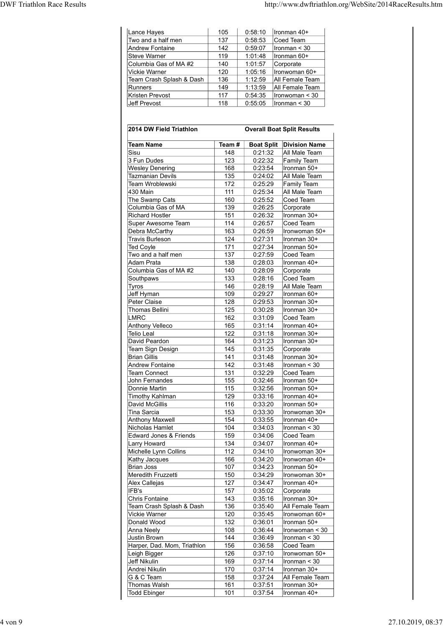| http://www.dwftriathlon.org/WebSite/2014RaceResults.htm<br>Lance Hayes<br>0:58:10<br>Ironman 40+<br>105<br>Two and a half men<br>137<br>0:58:53<br>Coed Team<br>142<br>0:59:07<br>$l$ ronman < 30<br>Andrew Fontaine<br>Steve Warner<br>119<br>Ironman 60+<br>1:01:48<br>Columbia Gas of MA #2<br>140<br>1:01:57<br>Corporate<br>120<br>1:05:16<br>Ironwoman 60+<br>Vickie Warner<br>136<br>1:12:59<br>Team Crash Splash & Dash<br>All Female Team<br>149<br>1:13:59<br>Runners<br>All Female Team<br>117<br>Kristen Prevost<br>0:54:35<br>$l$ ronwoman < 30<br>Jeff Prevost<br>118<br>0:55:05<br>$l$ ronman < 30 |  |  |
|-------------------------------------------------------------------------------------------------------------------------------------------------------------------------------------------------------------------------------------------------------------------------------------------------------------------------------------------------------------------------------------------------------------------------------------------------------------------------------------------------------------------------------------------------------------------------------------------------------------------|--|--|
|                                                                                                                                                                                                                                                                                                                                                                                                                                                                                                                                                                                                                   |  |  |
|                                                                                                                                                                                                                                                                                                                                                                                                                                                                                                                                                                                                                   |  |  |
|                                                                                                                                                                                                                                                                                                                                                                                                                                                                                                                                                                                                                   |  |  |
|                                                                                                                                                                                                                                                                                                                                                                                                                                                                                                                                                                                                                   |  |  |
|                                                                                                                                                                                                                                                                                                                                                                                                                                                                                                                                                                                                                   |  |  |
|                                                                                                                                                                                                                                                                                                                                                                                                                                                                                                                                                                                                                   |  |  |
|                                                                                                                                                                                                                                                                                                                                                                                                                                                                                                                                                                                                                   |  |  |
|                                                                                                                                                                                                                                                                                                                                                                                                                                                                                                                                                                                                                   |  |  |
|                                                                                                                                                                                                                                                                                                                                                                                                                                                                                                                                                                                                                   |  |  |
|                                                                                                                                                                                                                                                                                                                                                                                                                                                                                                                                                                                                                   |  |  |
|                                                                                                                                                                                                                                                                                                                                                                                                                                                                                                                                                                                                                   |  |  |
|                                                                                                                                                                                                                                                                                                                                                                                                                                                                                                                                                                                                                   |  |  |
|                                                                                                                                                                                                                                                                                                                                                                                                                                                                                                                                                                                                                   |  |  |
|                                                                                                                                                                                                                                                                                                                                                                                                                                                                                                                                                                                                                   |  |  |
|                                                                                                                                                                                                                                                                                                                                                                                                                                                                                                                                                                                                                   |  |  |
|                                                                                                                                                                                                                                                                                                                                                                                                                                                                                                                                                                                                                   |  |  |
|                                                                                                                                                                                                                                                                                                                                                                                                                                                                                                                                                                                                                   |  |  |
|                                                                                                                                                                                                                                                                                                                                                                                                                                                                                                                                                                                                                   |  |  |
|                                                                                                                                                                                                                                                                                                                                                                                                                                                                                                                                                                                                                   |  |  |
|                                                                                                                                                                                                                                                                                                                                                                                                                                                                                                                                                                                                                   |  |  |
|                                                                                                                                                                                                                                                                                                                                                                                                                                                                                                                                                                                                                   |  |  |
|                                                                                                                                                                                                                                                                                                                                                                                                                                                                                                                                                                                                                   |  |  |
|                                                                                                                                                                                                                                                                                                                                                                                                                                                                                                                                                                                                                   |  |  |
|                                                                                                                                                                                                                                                                                                                                                                                                                                                                                                                                                                                                                   |  |  |
|                                                                                                                                                                                                                                                                                                                                                                                                                                                                                                                                                                                                                   |  |  |
|                                                                                                                                                                                                                                                                                                                                                                                                                                                                                                                                                                                                                   |  |  |
|                                                                                                                                                                                                                                                                                                                                                                                                                                                                                                                                                                                                                   |  |  |
|                                                                                                                                                                                                                                                                                                                                                                                                                                                                                                                                                                                                                   |  |  |
|                                                                                                                                                                                                                                                                                                                                                                                                                                                                                                                                                                                                                   |  |  |
|                                                                                                                                                                                                                                                                                                                                                                                                                                                                                                                                                                                                                   |  |  |
| 2014 DW Field Triathlon<br><b>Overall Boat Split Results</b>                                                                                                                                                                                                                                                                                                                                                                                                                                                                                                                                                      |  |  |
|                                                                                                                                                                                                                                                                                                                                                                                                                                                                                                                                                                                                                   |  |  |
| <b>Boat Split Division Name</b><br><b>Team Name</b><br>Team#                                                                                                                                                                                                                                                                                                                                                                                                                                                                                                                                                      |  |  |
| 148<br>0:21:32<br>All Male Team<br>Sisu                                                                                                                                                                                                                                                                                                                                                                                                                                                                                                                                                                           |  |  |
| 3 Fun Dudes<br>123<br>0:22:32<br><b>Family Team</b>                                                                                                                                                                                                                                                                                                                                                                                                                                                                                                                                                               |  |  |
| <b>Wesley Denering</b><br>168<br>0:23:54<br>Ironman 50+                                                                                                                                                                                                                                                                                                                                                                                                                                                                                                                                                           |  |  |
| Tazmanian Devils<br>135<br>0:24:02<br>All Male Team                                                                                                                                                                                                                                                                                                                                                                                                                                                                                                                                                               |  |  |
| 172<br>0:25:29<br>Team Wroblewski<br><b>Family Team</b><br>$111$<br>0.25.34<br>All Male Team<br>430 Main                                                                                                                                                                                                                                                                                                                                                                                                                                                                                                          |  |  |

| Lance Hayes<br>Two and a half men                 | 105<br>137 | 0:58:10            | Ironman 40+<br>Coed Team           |
|---------------------------------------------------|------------|--------------------|------------------------------------|
| Andrew Fontaine                                   | 142        | 0:58:53<br>0:59:07 | Ironman < 30                       |
| <b>Steve Warner</b>                               | 119        | 1:01:48            | Ironman 60+                        |
| Columbia Gas of MA #2                             | 140        | 1:01:57            | Corporate                          |
| Vickie Warner                                     | 120        | 1:05:16            | Ironwoman 60+                      |
| Team Crash Splash & Dash<br>Runners               | 136<br>149 | 1:12:59<br>1:13:59 | All Female Team<br>All Female Team |
| Kristen Prevost                                   | 117        | 0:54:35            | Ironwoman < 30                     |
| Jeff Prevost                                      | 118        | 0:55:05            | Ironman < 30                       |
| 2014 DW Field Triathlon                           |            |                    | <b>Overall Boat Split Results</b>  |
| <b>Team Name</b>                                  | Team #     |                    | <b>Boat Split   Division Name</b>  |
| Sisu<br>3 Fun Dudes                               | 148<br>123 | 0:21:32<br>0:22:32 | All Male Team<br>Family Team       |
| <b>Wesley Denering</b>                            | 168        | 0:23:54            | Ironman 50+                        |
| Tazmanian Devils                                  | 135        | 0:24:02            | All Male Team                      |
| Team Wroblewski                                   | 172        | 0:25:29            | Family Team                        |
| 430 Main                                          | 111        | 0:25:34            | All Male Team                      |
| The Swamp Cats                                    | 160        | 0:25:52            | Coed Team                          |
| Columbia Gas of MA<br><b>Richard Hostler</b>      | 139<br>151 | 0:26:25<br>0:26:32 | Corporate<br>Ironman 30+           |
| Super Awesome Team                                | 114        | 0:26:57            | Coed Team                          |
| Debra McCarthy                                    | 163        | 0:26:59            | Ironwoman 50+                      |
| <b>Travis Burleson</b><br><b>Ted Coyle</b>        | 124<br>171 | 0:27:31<br>0:27:34 | Ironman 30+<br>Ironman 50+         |
| Two and a half men                                | 137        | 0:27:59            | ∣Coed Team                         |
| Adam Prata                                        | 138        | 0:28:03            | Ironman 40+                        |
| Columbia Gas of MA #2                             | 140        | 0:28:09            | Corporate                          |
| Southpaws<br>Tyros                                | 133<br>146 | 0:28:16<br>0:28:19 | Coed Team<br>All Male Team         |
| Jeff Hyman                                        | 109        | 0:29:27            | Ironman 60+                        |
| Peter Claise                                      | 128        | 0:29:53            | Ironman 30+                        |
| <b>Thomas Bellini</b>                             | 125        | 0:30:28            | Ironman 30+                        |
| <b>LMRC</b><br>Anthony Velleco                    | 162<br>165 | 0:31:09<br>0:31:14 | ∣Coed Team<br>Ironman 40+          |
| <b>Telio Leal</b>                                 | 122        | 0:31:18            | Ironman 30+                        |
| David Peardon                                     | 164        | 0:31:23            | Ironman 30+                        |
| Team Sign Design                                  | 145        | 0:31:35            | Corporate                          |
| <b>Brian Gillis</b>                               | 141        | 0:31:48            | Ironman 30+                        |
| <b>Andrew Fontaine</b><br><b>Team Connect</b>     | 142<br>131 | 0:31:48<br>0:32:29 | Ironman < 30<br>Coed Team          |
| John Fernandes                                    | 155        | 0:32:46            | Ironman 50+                        |
| Donnie Martin                                     | 115        | 0:32:56            | Ironman 50+                        |
| Timothy Kahlman                                   | 129        | 0:33:16            | Ironman 40+                        |
| David McGillis                                    | 116        | 0:33:20            | Ironman 50+                        |
| <b>Tina Sarcia</b><br><b>Anthony Maxwell</b>      | 153<br>154 | 0:33:30<br>0:33:55 | Ironwoman 30+<br>Ironman 40+       |
| Nicholas Hamlet                                   | 104        | 0:34:03            | Ironman < 30                       |
| <b>Edward Jones &amp; Friends</b>                 | 159        | 0:34:06            | Coed Team                          |
| Larry Howard                                      | 134        | 0:34:07            | Ironman 40+                        |
| Michelle Lynn Collins                             | 112        | 0:34:10            | Ironwoman 30+                      |
| Kathy Jacques<br><b>Brian Joss</b>                | 166<br>107 | 0:34:20<br>0:34:23 | Ironwoman 40+<br>Ironman 50+       |
| Meredith Fruzzetti                                | 150        | 0:34:29            | Ironwoman 30+                      |
| Alex Callejas                                     | 127        | 0:34:47            | Ironman 40+                        |
| IFB's                                             | 157        | 0:35:02            | Corporate                          |
| <b>Chris Fontaine</b><br>Team Crash Splash & Dash | 143<br>136 | 0:35:16<br>0:35:40 | Ironman 30+<br>All Female Team     |
| <b>Vickie Warner</b>                              | 120        | 0:35:45            | Ironwoman 60+                      |
| Donald Wood                                       | 132        | 0:36:01            | Ironman 50+                        |
| Anna Neely                                        | 108        | 0:36:44            | Ironwoman < 30                     |
| Justin Brown<br>Harper, Dad. Mom, Triathlon       | 144<br>156 | 0:36:49<br>0:36:58 | Ironman < 30<br>Coed Team          |
| Leigh Bigger                                      | 126        | 0:37:10            | Ironwoman 50+                      |
| <b>Jeff Nikulin</b>                               | 169        | 0:37:14            | Ironman < 30                       |
| Andrei Nikulin                                    | 170        | 0:37:14            | Ironman 30+                        |
| G & C Team                                        | 158        | 0:37:24            | All Female Team                    |
| Thomas Walsh                                      | 161        | 0:37:51            | Ironman 30+                        |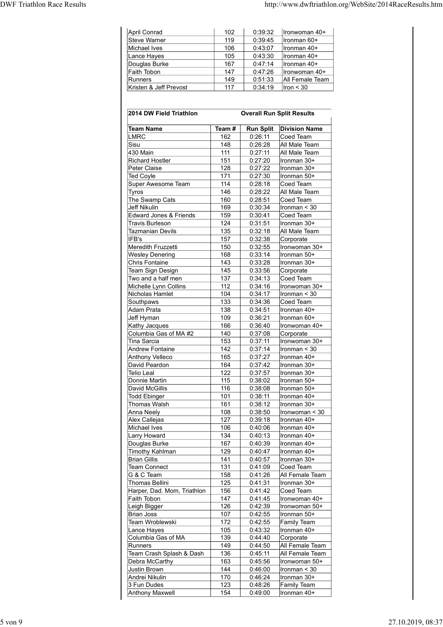| Steve Warner<br>119<br>0:39:45<br>Ironman 60+<br>Michael Ives<br>106<br>0:43:07<br>Ironman 40+<br>105<br>0:43:30<br>Lance Hayes<br>Ironman 40+<br>Douglas Burke<br>167<br>0:47:14<br>Ironman 40+<br>Faith Tobon<br>147<br>0:47:26<br>Ironwoman 40+<br>149<br>0:51:33<br>All Female Team<br>Runners<br>Kristen & Jeff Prevost<br>0:34:19<br>117<br>lron < 30<br><b>Overall Run Split Results</b><br>2014 DW Field Triathlon<br>Run Split   Division Name<br><b>Team Name</b><br>Team#<br><b>LMRC</b><br>162<br>0:26:11<br>Coed Team<br>Sisu<br>148<br>0:26:28<br>All Male Team |
|-------------------------------------------------------------------------------------------------------------------------------------------------------------------------------------------------------------------------------------------------------------------------------------------------------------------------------------------------------------------------------------------------------------------------------------------------------------------------------------------------------------------------------------------------------------------------------|
|                                                                                                                                                                                                                                                                                                                                                                                                                                                                                                                                                                               |
|                                                                                                                                                                                                                                                                                                                                                                                                                                                                                                                                                                               |
|                                                                                                                                                                                                                                                                                                                                                                                                                                                                                                                                                                               |
|                                                                                                                                                                                                                                                                                                                                                                                                                                                                                                                                                                               |
|                                                                                                                                                                                                                                                                                                                                                                                                                                                                                                                                                                               |
|                                                                                                                                                                                                                                                                                                                                                                                                                                                                                                                                                                               |
|                                                                                                                                                                                                                                                                                                                                                                                                                                                                                                                                                                               |
|                                                                                                                                                                                                                                                                                                                                                                                                                                                                                                                                                                               |
|                                                                                                                                                                                                                                                                                                                                                                                                                                                                                                                                                                               |
|                                                                                                                                                                                                                                                                                                                                                                                                                                                                                                                                                                               |
|                                                                                                                                                                                                                                                                                                                                                                                                                                                                                                                                                                               |
| 0:39:32<br>April Conrad<br>102<br>Ironwoman 40+                                                                                                                                                                                                                                                                                                                                                                                                                                                                                                                               |

| April Conrad<br>Steve Warner<br>Michael Ives<br>Lance Hayes<br>Douglas Burke | 102        |                    |                                  |
|------------------------------------------------------------------------------|------------|--------------------|----------------------------------|
|                                                                              |            | 0:39:32            | Ironwoman 40+                    |
|                                                                              | 119        | 0:39:45            | Ironman 60+                      |
|                                                                              | 106        | 0:43:07            | Ironman 40+                      |
|                                                                              | 105<br>167 | 0:43:30<br>0:47:14 | Ironman 40+<br>Ironman 40+       |
| Faith Tobon                                                                  | 147        | 0:47:26            | Ironwoman 40+                    |
| Runners                                                                      | 149        | 0:51:33            | All Female Team                  |
| Kristen & Jeff Prevost                                                       | 117        | 0:34:19            | Iron $<$ 30                      |
| 2014 DW Field Triathlon                                                      |            |                    | <b>Overall Run Split Results</b> |
| <b>Team Name</b>                                                             | Team #     | <b>Run Split</b>   | <b>Division Name</b>             |
| <b>LMRC</b>                                                                  | 162        | 0:26:11            | Coed Team                        |
| Sisu<br>430 Main                                                             | 148<br>111 | 0:26:28<br>0:27:11 | All Male Team<br>All Male Team   |
| <b>Richard Hostler</b>                                                       | 151        | 0:27:20            | Ironman 30+                      |
| Peter Claise                                                                 | 128        | 0:27:22            | Ironman 30+                      |
| <b>Ted Coyle</b><br>Super Awesome Team                                       | 171<br>114 | 0:27:30<br>0:28:18 | Ironman 50+<br>Coed Team         |
| Tyros                                                                        | 146        | 0:28:22            | All Male Team                    |
| The Swamp Cats                                                               | 160        | 0:28:51            | Coed Team                        |
| <b>Jeff Nikulin</b><br>Edward Jones & Friends                                | 169<br>159 | 0:30:34<br>0:30:41 | Ironman < 30<br>Coed Team        |
| <b>Travis Burleson</b>                                                       | 124        | 0:31:51            | Ironman 30+                      |
| <b>Tazmanian Devils</b>                                                      | 135        | 0:32:18            | All Male Team                    |
| IFB's<br>Meredith Fruzzetti                                                  | 157<br>150 | 0:32:38<br>0:32:55 | Corporate<br>Ironwoman 30+       |
| <b>Wesley Denering</b>                                                       | 168        | 0:33:14            | Ironman 50+                      |
| <b>Chris Fontaine</b>                                                        | 143        | 0:33:28            | Ironman 30+                      |
| Team Sign Design                                                             | 145        | 0:33:56            | Corporate                        |
| Two and a half men<br>Michelle Lynn Collins                                  | 137<br>112 | 0:34:13<br>0:34:16 | Coed Team<br>Ironwoman 30+       |
| Nicholas Hamlet                                                              | 104        | 0:34:17            | Ironman < 30                     |
| Southpaws                                                                    | 133        | 0:34:36            | Coed Team                        |
| Adam Prata<br>Jeff Hyman                                                     | 138<br>109 | 0:34:51<br>0:36:21 | Ironman 40+<br>Ironman 60+       |
| Kathy Jacques                                                                | 166        | 0:36:40            | Ironwoman 40+                    |
| Columbia Gas of MA #2                                                        | 140        | 0:37:08            | Corporate                        |
| <b>Tina Sarcia</b><br><b>Andrew Fontaine</b>                                 | 153<br>142 | 0:37:11<br>0:37:14 | Ironwoman 30+<br>Ironman $<$ 30  |
| <b>Anthony Velleco</b>                                                       | 165        | 0:37:27            | Ironman 40+                      |
| David Peardon                                                                | 164        | 0:37:42            | Ironman 30+                      |
| <b>Telio Leal</b><br>Donnie Martin                                           | 122<br>115 | 0:37:57<br>0:38:02 | Ironman 30+<br>Ironman 50+       |
| David McGillis                                                               | 116        | 0:38:08            | Ironman 50+                      |
| <b>Todd Ebinger</b>                                                          | 101        | 0:38:11            | Ironman 40+                      |
| Thomas Walsh<br>Anna Neely                                                   | 161<br>108 | 0:38:12<br>0:38:50 | Ironman 30+<br>Ironwoman < 30    |
| Alex Callejas                                                                | 127        | 0:39:18            | Ironman 40+                      |
| Michael Ives                                                                 | 106        | 0:40:06            | Ironman 40+                      |
| Larry Howard                                                                 | 134<br>167 | 0:40:13<br>0:40:39 | Ironman 40+<br>Ironman 40+       |
| Douglas Burke<br><b>Timothy Kahlman</b>                                      | 129        | 0:40:47            | Ironman 40+                      |
| <b>Brian Gillis</b>                                                          | 141        | 0:40:57            | Ironman 30+                      |
| <b>Team Connect</b>                                                          | 131        | 0:41:09            | Coed Team                        |
| G & C Team<br><b>Thomas Bellini</b>                                          | 158<br>125 | 0:41:26<br>0:41:31 | All Female Team<br>Ironman 30+   |
| Harper, Dad. Mom, Triathlon                                                  | 156        | 0:41:42            | Coed Team                        |
| Faith Tobon                                                                  | 147        | 0:41:45            | Ironwoman 40+                    |
| Leigh Bigger<br><b>Brian Joss</b>                                            | 126<br>107 | 0:42:39<br>0:42:55 | Ironwoman 50+<br>Ironman 50+     |
| Team Wroblewski                                                              | 172        | 0:42:55            | Family Team                      |
| Lance Hayes                                                                  | 105        | 0:43:32            | Ironman 40+                      |
| Columbia Gas of MA<br>Runners                                                | 139<br>149 | 0:44:40<br>0:44:50 | Corporate<br>All Female Team     |
| Team Crash Splash & Dash                                                     | 136        | 0:45:11            | All Female Team                  |
| Debra McCarthy                                                               | 163        | 0:45:56            | Ironwoman 50+                    |
| <b>Justin Brown</b>                                                          | 144<br>170 | 0:46:00<br>0:46:24 | Ironman < 30                     |
|                                                                              |            |                    | Ironman 30+                      |
| Andrei Nikulin<br>3 Fun Dudes                                                | 123        | 0:48:26            | <b>Family Team</b>               |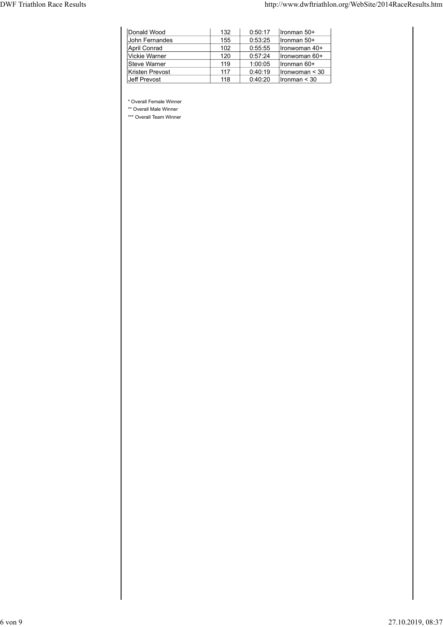|                                   |                                                   |     |         | http://www.dwftriathlon.org/WebSite/2014RaceResults.htm |  |
|-----------------------------------|---------------------------------------------------|-----|---------|---------------------------------------------------------|--|
|                                   |                                                   |     |         |                                                         |  |
|                                   |                                                   |     |         |                                                         |  |
| <b>DWF Triathlon Race Results</b> | Donald Wood                                       | 132 | 0:50:17 | Ironman 50+                                             |  |
|                                   | John Fernandes                                    | 155 | 0:53:25 | Ironman 50+                                             |  |
|                                   | <b>April Conrad</b>                               | 102 | 0:55:55 | Ironwoman 40+                                           |  |
|                                   | Vickie Warner                                     | 120 | 0:57:24 | Ironwoman 60+                                           |  |
|                                   | Steve Warner                                      | 119 | 1:00:05 | Ironman 60+                                             |  |
|                                   | Kristen Prevost                                   | 117 | 0:40:19 | $l$ ronwoman < 30                                       |  |
|                                   | Jeff Prevost                                      | 118 | 0:40:20 | $l$ ronman < 30                                         |  |
|                                   |                                                   |     |         |                                                         |  |
|                                   |                                                   |     |         |                                                         |  |
|                                   | * Overall Female Winner                           |     |         |                                                         |  |
|                                   | ** Overall Male Winner<br>*** Overall Team Winner |     |         |                                                         |  |